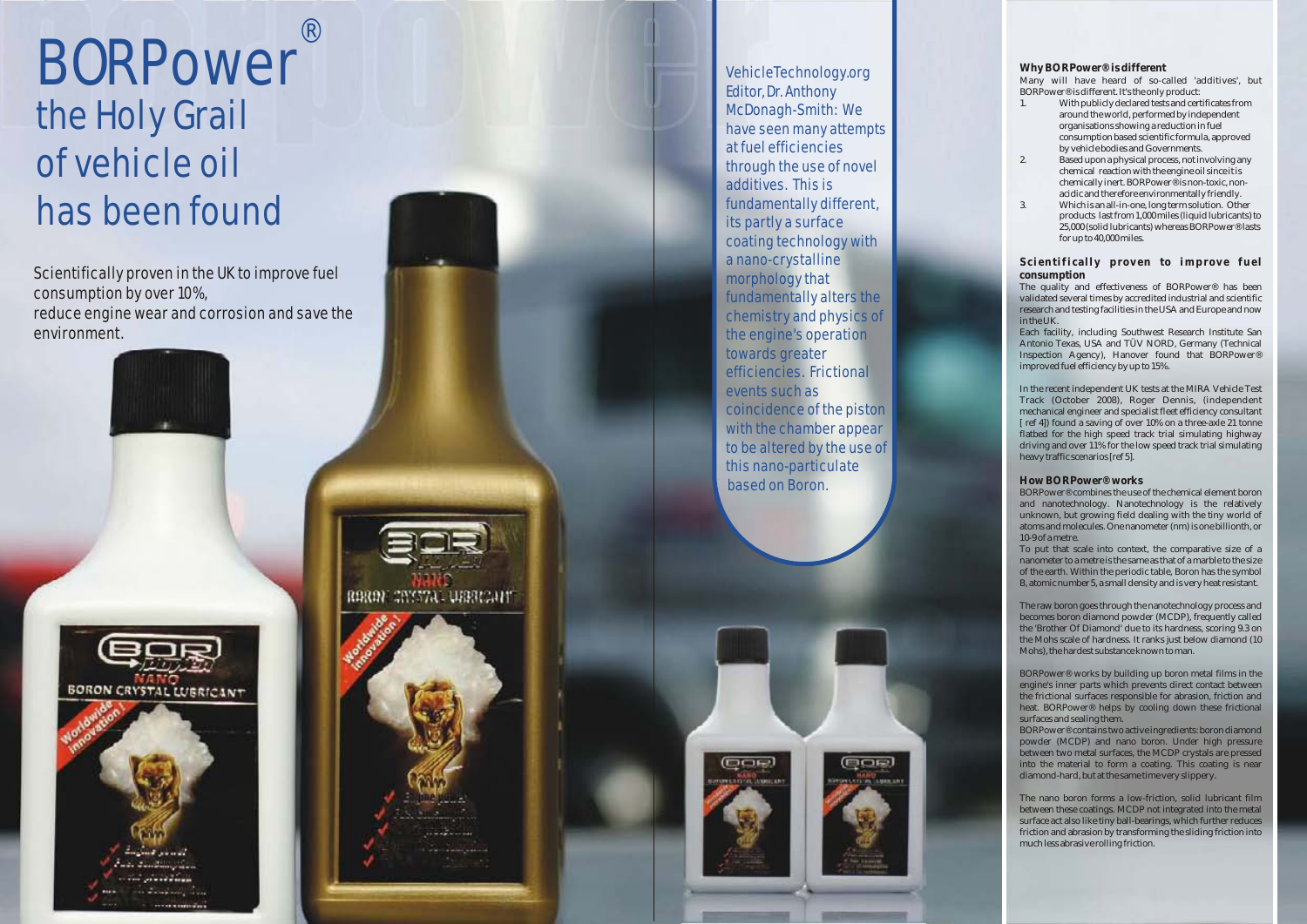Scientifically proven in the UK to improve fuel consumption by over 10%, reduce engine wear and corrosion and save the environment .



RERON CIVISTAL USERCANT

# BORPower the Holy Grail of vehicle oil has been found ®

VehicleTechnology.org Editor, Dr. Anthony McDonagh-Smith: We have seen many attempts at fuel efficiencies through the use of novel additives. This is fundamentally different, its partly a surface coating technology with a nano-crystalline morphology that fundamentally alters the chemistry and physics of the engine's operation towards greater efficiencies. Frictional events such as coincidence of the piston with the chamber appear to be altered by the use of this nano-particulate based on Boron.

## **Why BORPower® is different**

Many will have heard of so-called 'additives' , but BORPower® is different. It's the only product:

- 1. With publicly declared tests and certificates from around the world, performed by independent organisations showing a reduction in fuel consumption based scientific formula, approved by vehicle bodies and Governments.
- 2. Based upon a physical process, not involving any chemical reaction with the engine oil since it is chemically inert. BORPower® is non-toxic, nonacidic and therefore environmentally friendly.
- 3. Which is an all-in-one, long term solution. Other products last from 1,000 miles (liquid lubricants) to 25,000 (solid lubricants) whereas BORPower® lasts for up to 40,000 miles.

## **S ci enti fi cal l y p rov en to i mp rov e fuel consumption**

The quality and effectiveness of BORPower® has been validated several times by accredited industrial and scientific research and testing facilities in the USA and Europe and now in the UK.

Each facility, including Southwest Research Institute San Antonio Texas, USA and TÜV NORD, Germany (Technical Inspection Agency), Hanover found that BORPower® improved fuel efficiency by up to 15%.

In the recent independent UK tests at the MIRA Vehicle Test Track (October 2008), Roger Dennis, (independent mechanical engineer and specialist fleet efficiency consultant [ ref 4]) found a saving of over 10% on a three-axle 21 tonne flatbed for the high speed track trial simulating highway driving and over 11% for the low speed track trial simulating heavy traffic scenarios [ref 5].

## **How BORPower® works**

BORPower® combines the use of the chemical element boron and nanotechnology. Nanotechnology is the relatively unknown, but growing field dealing with the tiny world of atoms and molecules. One nanometer (nm) is one billionth, or 10-9 of a metre.

To put that scale into context, the comparative size of a nanometer to a metre is the same as that of a marble to the size of the earth. Within the periodic table, Boron has the symbol B, atomic number 5, a small density and is very heat resistant.

The raw boron goes through the nanotechnology process and becomes boron diamond powder (MCDP), frequently called the 'Brother Of Diamond' due to its hardness, scoring 9.3 on the Mohs scale of hardness. It ranks just below diamond (10 Mohs), the hardest substance known to man.

BORPower® works by building up boron metal films in the engine's inner parts which prevents direct contact between the frictional surfaces responsible for abrasion, friction and heat. BORPower® helps by cooling down these frictional surfaces and sealing them.

BORPower® contains two active ingredients: boron diamond powder (MCDP) and nano boron. Under high pressure between two metal surfaces, the MCDP crystals are pressed into the material to form a coating. This coating is near diamond-hard, but at the same time very slippery.

The nano boron forms a low-friction, solid lubricant film between these coatings. MCDP not integrated into the metal surface act also like tiny ball-bearings, which further reduces friction and abrasion by transforming the sliding friction into much less abrasive rolling friction.